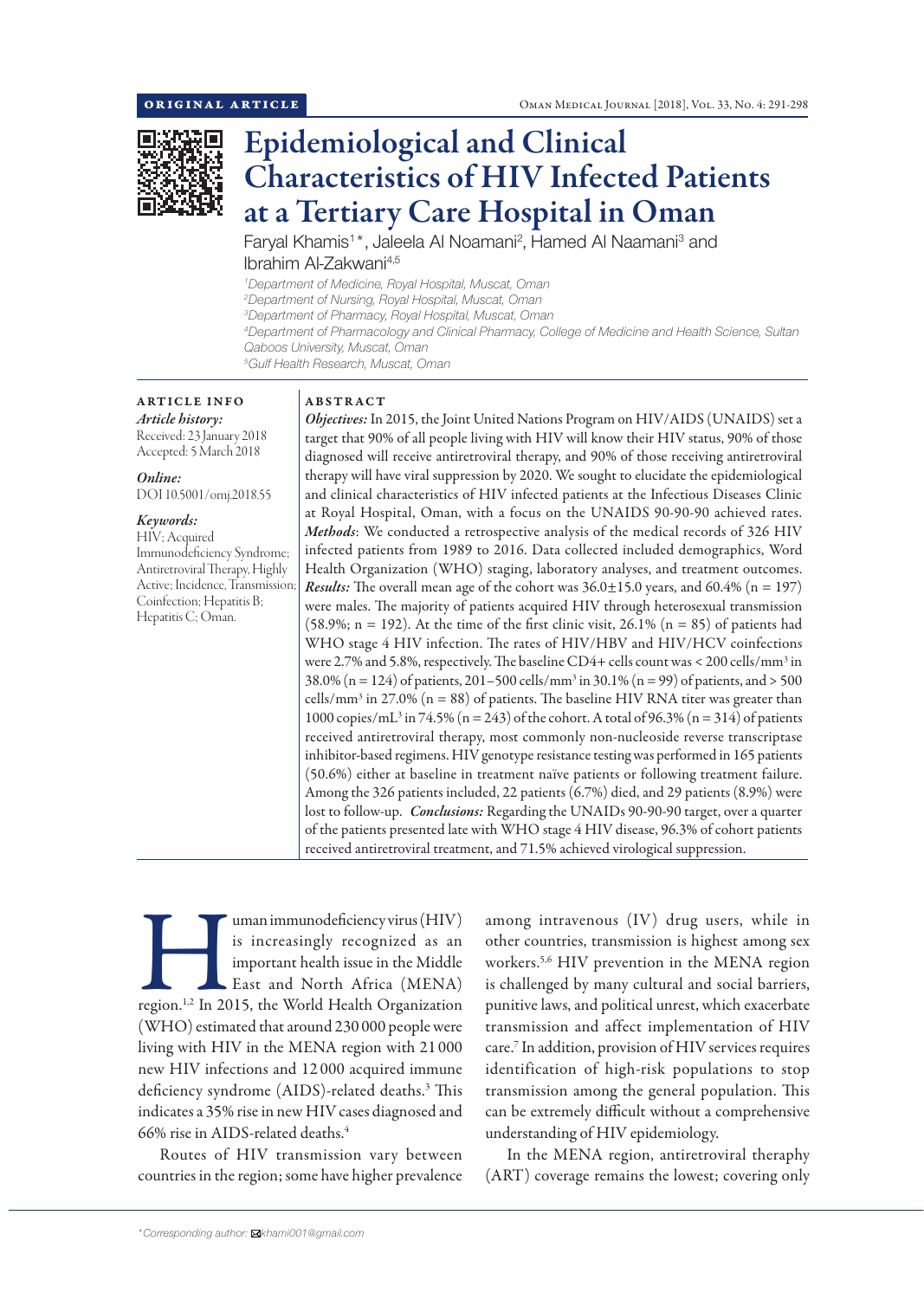

# Epidemiological and Clinical Characteristics of HIV Infected Patients at a Tertiary Care Hospital in Oman

Faryal Khamis<sup>1\*</sup>, Jaleela Al Noamani<sup>2</sup>, Hamed Al Naamani<sup>3</sup> and Ibrahim Al-Zakwani4,5

*1 Department of Medicine, Royal Hospital, Muscat, Oman*

*2 Department of Nursing, Royal Hospital, Muscat, Oman*

*3 Department of Pharmacy, Royal Hospital, Muscat, Oman*

*4 Department of Pharmacology and Clinical Pharmacy, College of Medicine and Health Science, Sultan Qaboos University, Muscat, Oman*

*5 Gulf Health Research, Muscat, Oman*

# ARTICLE INFO

*Article history:* Received: 23 January 2018 Accepted: 5 March 2018

*Online:* DOI 10.5001/omj.2018.55

#### *Keywords:*

HIV; Acquired Immunodeficiency Syndrome; Antiretroviral Therapy, Highly Active; Incidence, Transmission; Coinfection; Hepatitis B; Hepatitis C; Oman.

### ABSTRACT

*Objectives:* In 2015, the Joint United Nations Program on HIV/AIDS (UNAIDS) set a target that 90% of all people living with HIV will know their HIV status, 90% of those diagnosed will receive antiretroviral therapy, and 90% of those receiving antiretroviral therapy will have viral suppression by 2020. We sought to elucidate the epidemiological and clinical characteristics of HIV infected patients at the Infectious Diseases Clinic at Royal Hospital, Oman, with a focus on the UNAIDS 90-90-90 achieved rates. *Methods*: We conducted a retrospective analysis of the medical records of 326 HIV infected patients from 1989 to 2016. Data collected included demographics, Word Health Organization (WHO) staging, laboratory analyses, and treatment outcomes. *Results:* The overall mean age of the cohort was  $36.0 \pm 15.0$  years, and  $60.4\%$  (n = 197) were males. The majority of patients acquired HIV through heterosexual transmission (58.9%;  $n = 192$ ). At the time of the first clinic visit, 26.1% ( $n = 85$ ) of patients had WHO stage 4 HIV infection. The rates of HIV/HBV and HIV/HCV coinfections were 2.7% and 5.8%, respectively. The baseline CD4+ cells count was < 200 cells/mm<sup>3</sup> in 38.0% (n = 124) of patients, 201–500 cells/mm<sup>3</sup> in 30.1% (n = 99) of patients, and > 500 cells/mm<sup>3</sup> in 27.0% ( $n = 88$ ) of patients. The baseline HIV RNA titer was greater than 1000 copies/mL<sup>3</sup> in 74.5% (n = 243) of the cohort. A total of 96.3% (n = 314) of patients received antiretroviral therapy, most commonly non-nucleoside reverse transcriptase inhibitor-based regimens. HIV genotype resistance testing was performed in 165 patients (50.6%) either at baseline in treatment naïve patients or following treatment failure. Among the 326 patients included, 22 patients (6.7%) died, and 29 patients (8.9%) were lost to follow-up. *Conclusions:* Regarding the UNAIDs 90-90-90 target, over a quarter of the patients presented late with WHO stage 4 HIV disease, 96.3% of cohort patients received antiretroviral treatment, and 71.5% achieved virological suppression.

Immunodeficiency virus (HIV) is increasingly recognized as an important health issue in the Middle East and North Africa (MENA) region.<sup>1,2</sup> In 2015, the World Health Organization is increasingly recognized as an important health issue in the Middle East and North Africa (MENA) (WHO) estimated that around 230 000 people were living with HIV in the MENA region with 21 000 new HIV infections and 12 000 acquired immune deficiency syndrome (AIDS)-related deaths.3 This indicates a 35% rise in new HIV cases diagnosed and 66% rise in AIDS-related deaths.4

Routes of HIV transmission vary between countries in the region; some have higher prevalence among intravenous (IV) drug users, while in other countries, transmission is highest among sex workers.5,6 HIV prevention in the MENA region is challenged by many cultural and social barriers, punitive laws, and political unrest, which exacerbate transmission and affect implementation of HIV care.7 In addition, provision of HIV services requires identification of high-risk populations to stop transmission among the general population. This can be extremely difficult without a comprehensive understanding of HIV epidemiology.

In the MENA region, antiretroviral theraphy (ART) coverage remains the lowest; covering only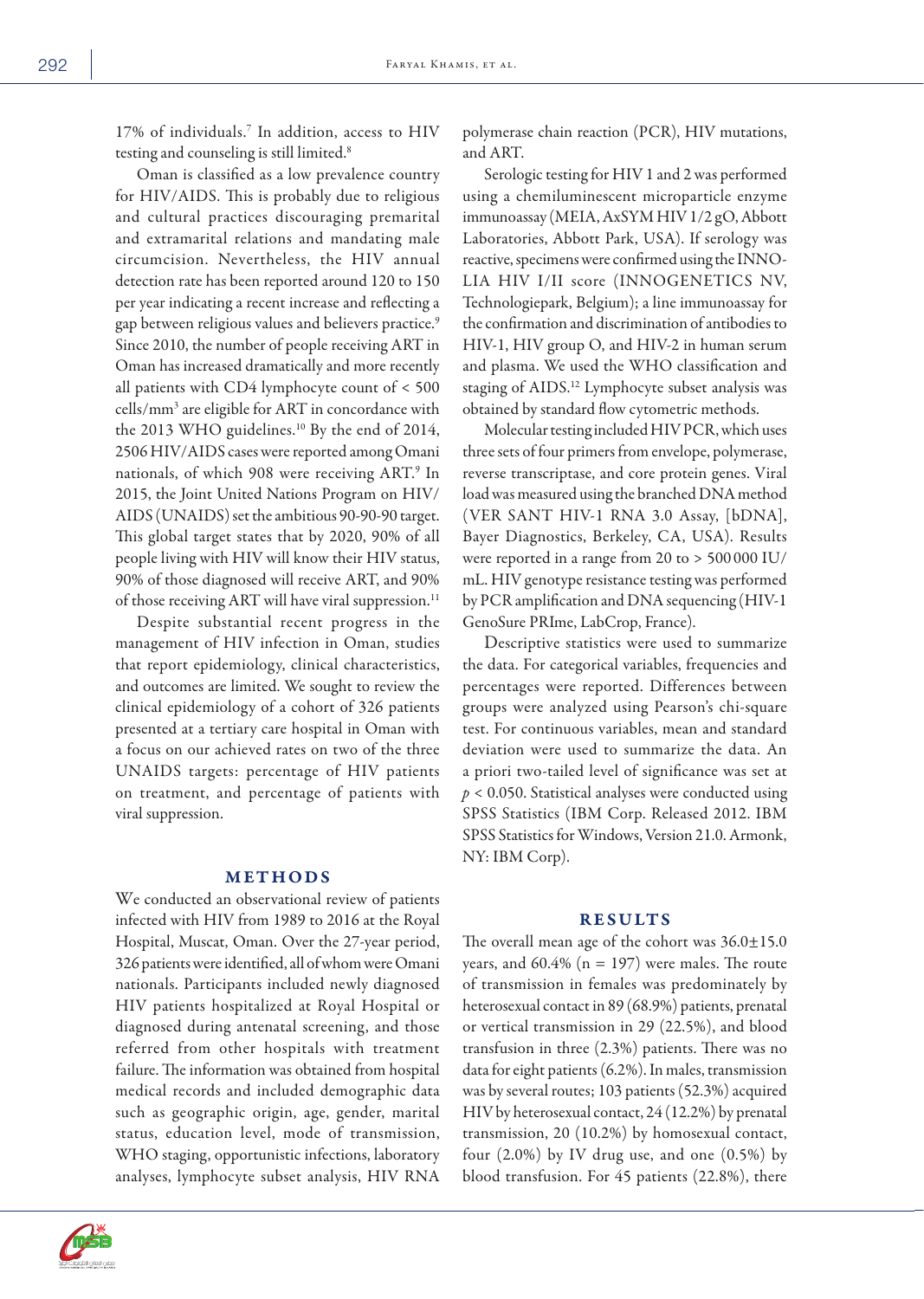17% of individuals.7 In addition, access to HIV testing and counseling is still limited.8

Oman is classified as a low prevalence country for HIV/AIDS. This is probably due to religious and cultural practices discouraging premarital and extramarital relations and mandating male circumcision. Nevertheless, the HIV annual detection rate has been reported around 120 to 150 per year indicating a recent increase and reflecting a gap between religious values and believers practice.<sup>9</sup> Since 2010, the number of people receiving ART in Oman has increased dramatically and more recently all patients with CD4 lymphocyte count of < 500 cells/mm3 are eligible for ART in concordance with the 2013 WHO guidelines.<sup>10</sup> By the end of 2014, 2506 HIV/AIDS cases were reported among Omani nationals, of which 908 were receiving ART.9 In 2015, the Joint United Nations Program on HIV/ AIDS (UNAIDS) set the ambitious 90-90-90 target. This global target states that by 2020, 90% of all people living with HIV will know their HIV status, 90% of those diagnosed will receive ART, and 90% of those receiving ART will have viral suppression.<sup>11</sup>

Despite substantial recent progress in the management of HIV infection in Oman, studies that report epidemiology, clinical characteristics, and outcomes are limited. We sought to review the clinical epidemiology of a cohort of 326 patients presented at a tertiary care hospital in Oman with a focus on our achieved rates on two of the three UNAIDS targets: percentage of HIV patients on treatment, and percentage of patients with viral suppression.

## METHODS

We conducted an observational review of patients infected with HIV from 1989 to 2016 at the Royal Hospital, Muscat, Oman. Over the 27-year period, 326 patients were identified, all of whom were Omani nationals. Participants included newly diagnosed HIV patients hospitalized at Royal Hospital or diagnosed during antenatal screening, and those referred from other hospitals with treatment failure. The information was obtained from hospital medical records and included demographic data such as geographic origin, age, gender, marital status, education level, mode of transmission, WHO staging, opportunistic infections, laboratory analyses, lymphocyte subset analysis, HIV RNA



polymerase chain reaction (PCR), HIV mutations, and ART.

Serologic testing for HIV 1 and 2 was performed using a chemiluminescent microparticle enzyme immunoassay (MEIA, AxSYM HIV 1/2 gO, Abbott Laboratories, Abbott Park, USA). If serology was reactive, specimens were confirmed using the INNO-LIA HIV I/II score (INNOGENETICS NV, Technologiepark, Belgium); a line immunoassay for the confirmation and discrimination of antibodies to HIV-1, HIV group O, and HIV-2 in human serum and plasma. We used the WHO classification and staging of AIDS.12 Lymphocyte subset analysis was obtained by standard flow cytometric methods.

Molecular testing included HIV PCR, which uses three sets of four primers from envelope, polymerase, reverse transcriptase, and core protein genes. Viral load was measured using the branched DNA method (VER SANT HIV-1 RNA 3.0 Assay, [bDNA], Bayer Diagnostics, Berkeley, CA, USA). Results were reported in a range from 20 to > 500 000 IU/ mL. HIV genotype resistance testing was performed by PCR amplification and DNA sequencing (HIV-1 GenoSure PRIme, LabCrop, France).

Descriptive statistics were used to summarize the data. For categorical variables, frequencies and percentages were reported. Differences between groups were analyzed using Pearson's chi-square test. For continuous variables, mean and standard deviation were used to summarize the data. An a priori two-tailed level of significance was set at *p* < 0.050. Statistical analyses were conducted using SPSS Statistics (IBM Corp. Released 2012. IBM SPSS Statistics for Windows, Version 21.0. Armonk, NY: IBM Corp).

## RESULTS

The overall mean age of the cohort was  $36.0 \pm 15.0$ years, and  $60.4\%$  (n = 197) were males. The route of transmission in females was predominately by heterosexual contact in 89 (68.9%) patients, prenatal or vertical transmission in 29 (22.5%), and blood transfusion in three (2.3%) patients. There was no data for eight patients (6.2%). In males, transmission was by several routes; 103 patients (52.3%) acquired HIV by heterosexual contact, 24 (12.2%) by prenatal transmission, 20 (10.2%) by homosexual contact, four  $(2.0\%)$  by IV drug use, and one  $(0.5\%)$  by blood transfusion. For 45 patients (22.8%), there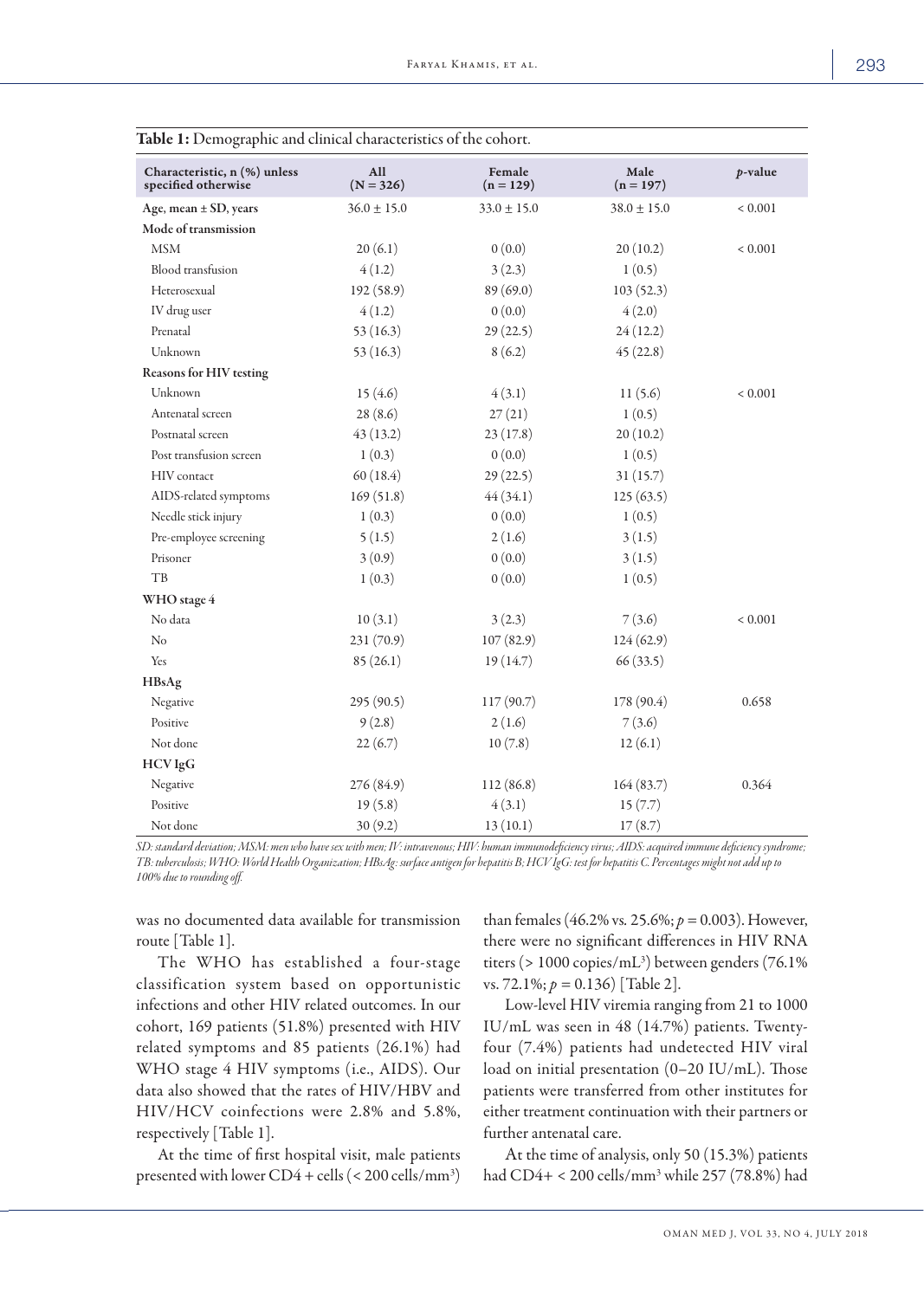| Characteristic, n (%) unless<br>specified otherwise | All<br>$(N = 326)$ | Female<br>$(n = 129)$ | Male<br>$(n = 197)$ | $p$ -value     |
|-----------------------------------------------------|--------------------|-----------------------|---------------------|----------------|
| Age, mean $\pm$ SD, years                           | $36.0 \pm 15.0$    | $33.0 \pm 15.0$       | $38.0 \pm 15.0$     | ${}_{< 0.001}$ |
| Mode of transmission                                |                    |                       |                     |                |
| <b>MSM</b>                                          | 20(6.1)            | 0(0.0)                | 20(10.2)            | ${}< 0.001$    |
| Blood transfusion                                   | 4(1.2)             | 3(2.3)                | 1(0.5)              |                |
| Heterosexual                                        | 192(58.9)          | 89 (69.0)             | 103(52.3)           |                |
| IV drug user                                        | 4(1.2)             | 0(0.0)                | 4(2.0)              |                |
| Prenatal                                            | 53(16.3)           | 29(22.5)              | 24(12.2)            |                |
| Unknown                                             | 53(16.3)           | 8(6.2)                | 45(22.8)            |                |
| <b>Reasons for HIV testing</b>                      |                    |                       |                     |                |
| Unknown                                             | 15(4.6)            | 4(3.1)                | 11(5.6)             | ${}< 0.001$    |
| Antenatal screen                                    | 28(8.6)            | 27(21)                | 1(0.5)              |                |
| Postnatal screen                                    | 43(13.2)           | 23(17.8)              | 20(10.2)            |                |
| Post transfusion screen                             | 1(0.3)             | 0(0.0)                | 1(0.5)              |                |
| <b>HIV</b> contact                                  | 60(18.4)           | 29(22.5)              | 31(15.7)            |                |
| AIDS-related symptoms                               | 169(51.8)          | 44(34.1)              | 125(63.5)           |                |
| Needle stick injury                                 | 1(0.3)             | 0(0.0)                | 1(0.5)              |                |
| Pre-employee screening                              | 5(1.5)             | 2(1.6)                | 3(1.5)              |                |
| Prisoner                                            | 3(0.9)             | 0(0.0)                | 3(1.5)              |                |
| TB                                                  | 1(0.3)             | 0(0.0)                | 1(0.5)              |                |
| WHO stage 4                                         |                    |                       |                     |                |
| No data                                             | 10(3.1)            | 3(2.3)                | 7(3.6)              | ${}< 0.001$    |
| $\rm No$                                            | 231 (70.9)         | 107(82.9)             | 124(62.9)           |                |
| Yes                                                 | 85(26.1)           | 19(14.7)              | 66(33.5)            |                |
| <b>HBsAg</b>                                        |                    |                       |                     |                |
| Negative                                            | 295 (90.5)         | 117(90.7)             | 178 (90.4)          | 0.658          |
| Positive                                            | 9(2.8)             | 2(1.6)                | 7(3.6)              |                |
| Not done                                            | 22(6.7)            | 10(7.8)               | 12(6.1)             |                |
| <b>HCV</b> IgG                                      |                    |                       |                     |                |
| Negative                                            | 276 (84.9)         | 112 (86.8)            | 164(83.7)           | 0.364          |
| Positive                                            | 19(5.8)            | 4(3.1)                | 15(7.7)             |                |
| Not done                                            | 30(9.2)            | 13(10.1)              | 17(8.7)             |                |

| <b>Table 1:</b> Demographic and clinical characteristics of the cohort. |  |
|-------------------------------------------------------------------------|--|
|-------------------------------------------------------------------------|--|

*SD: standard deviation; MSM: men who have sex with men; IV: intravenous; HIV: human immunodeficiency virus; AIDS: acquired immune deficiency syndrome; TB: tuberculosis; WHO: World Health Organization; HBsAg: surface antigen for hepatitis B; HCV IgG: test for hepatitis C. Percentages might not add up to 100% due to rounding off.*

was no documented data available for transmission route [Table 1].

The WHO has established a four-stage classification system based on opportunistic infections and other HIV related outcomes. In our cohort, 169 patients (51.8%) presented with HIV related symptoms and 85 patients (26.1%) had WHO stage 4 HIV symptoms (i.e., AIDS). Our data also showed that the rates of HIV/HBV and HIV/HCV coinfections were 2.8% and 5.8%, respectively [Table 1].

At the time of first hospital visit, male patients presented with lower  $CD4 + cells$  (< 200 cells/mm<sup>3</sup>) than females (46.2% vs*.* 25.6%; *p =* 0.003). However, there were no significant differences in HIV RNA titers (> 1000 copies/mL3 ) between genders (76.1% vs. 72.1%; *p =* 0.136) [Table 2].

Low-level HIV viremia ranging from 21 to 1000 IU/mL was seen in 48 (14.7%) patients. Twentyfour (7.4%) patients had undetected HIV viral load on initial presentation (0–20 IU/mL). Those patients were transferred from other institutes for either treatment continuation with their partners or further antenatal care.

At the time of analysis, only 50 (15.3%) patients had CD4+ < 200 cells/mm3 while 257 (78.8%) had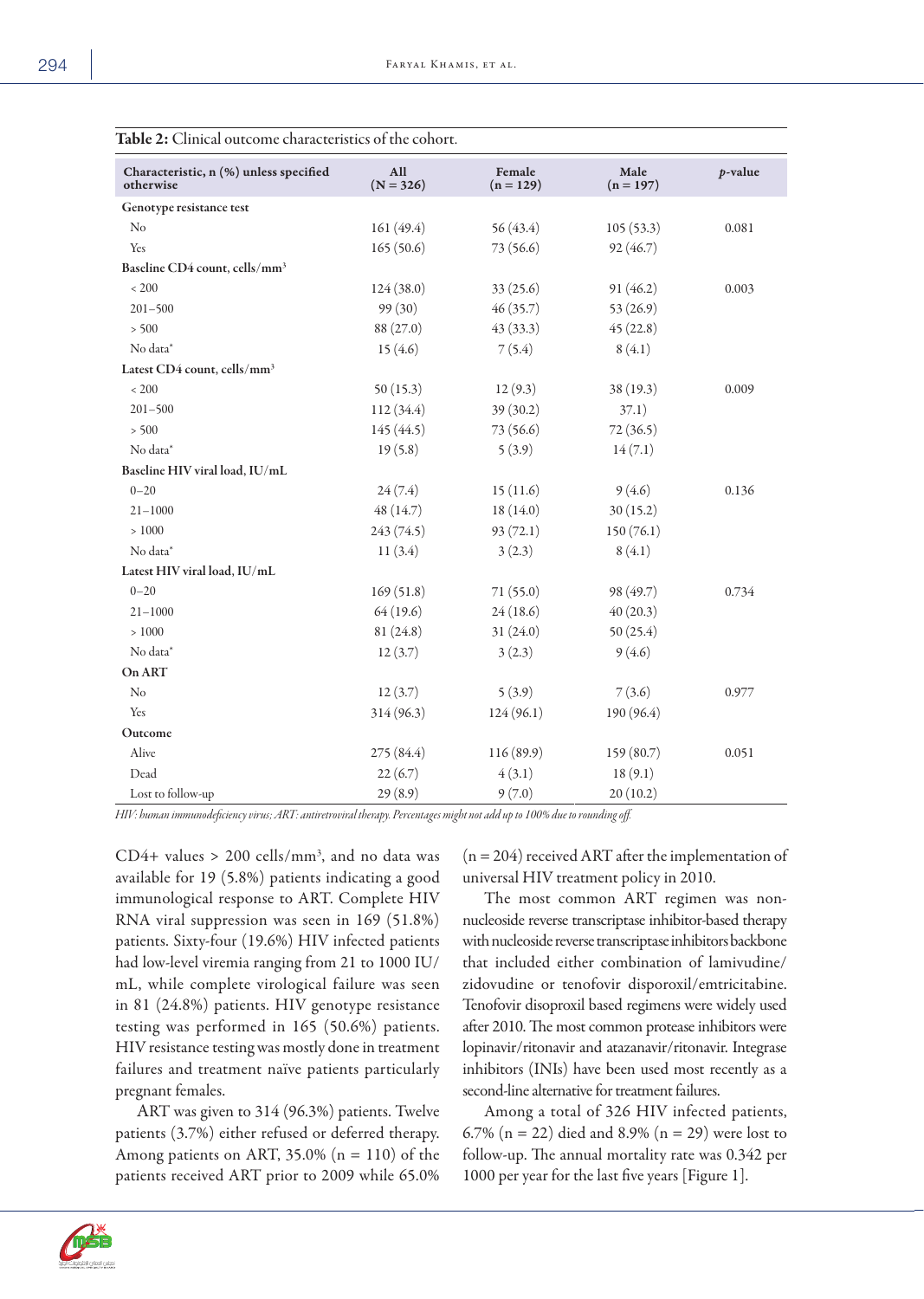| Chincal outcome characteristics of the conort.      |                    |                       |                     |            |
|-----------------------------------------------------|--------------------|-----------------------|---------------------|------------|
| Characteristic, n (%) unless specified<br>otherwise | All<br>$(N = 326)$ | Female<br>$(n = 129)$ | Male<br>$(n = 197)$ | $p$ -value |
| Genotype resistance test                            |                    |                       |                     |            |
| N <sub>o</sub>                                      | 161(49.4)          | 56(43.4)              | 105(53.3)           | 0.081      |
| Yes                                                 | 165(50.6)          | 73(56.6)              | 92(46.7)            |            |
| Baseline CD4 count, cells/mm <sup>3</sup>           |                    |                       |                     |            |
| < 200                                               | 124(38.0)          | 33(25.6)              | 91 (46.2)           | 0.003      |
| $201 - 500$                                         | 99 (30)            | 46(35.7)              | 53(26.9)            |            |
| > 500                                               | 88 (27.0)          | 43(33.3)              | 45(22.8)            |            |
| No data*                                            | 15(4.6)            | 7(5.4)                | 8(4.1)              |            |
| Latest CD4 count, cells/mm <sup>3</sup>             |                    |                       |                     |            |
| $< 200\,$                                           | 50(15.3)           | 12(9.3)               | 38 (19.3)           | 0.009      |
| $201 - 500$                                         | 112 (34.4)         | 39(30.2)              | 37.1)               |            |
| > 500                                               | 145 (44.5)         | 73 (56.6)             | 72(36.5)            |            |
| No data*                                            | 19(5.8)            | 5(3.9)                | 14(7.1)             |            |
| Baseline HIV viral load, IU/mL                      |                    |                       |                     |            |
| $0 - 20$                                            | 24(7.4)            | 15(11.6)              | 9(4.6)              | 0.136      |
| $21 - 1000$                                         | 48(14.7)           | 18(14.0)              | 30(15.2)            |            |
| >1000                                               | 243 (74.5)         | 93(72.1)              | 150(76.1)           |            |
| No data*                                            | 11(3.4)            | 3(2.3)                | 8(4.1)              |            |
| Latest HIV viral load, IU/mL                        |                    |                       |                     |            |
| $0 - 20$                                            | 169(51.8)          | 71(55.0)              | 98 (49.7)           | 0.734      |
| $21 - 1000$                                         | 64(19.6)           | 24(18.6)              | 40(20.3)            |            |
| >1000                                               | 81(24.8)           | 31(24.0)              | 50(25.4)            |            |
| No data*                                            | 12(3.7)            | 3(2.3)                | 9(4.6)              |            |
| On ART                                              |                    |                       |                     |            |
| $\rm No$                                            | 12(3.7)            | 5(3.9)                | 7(3.6)              | 0.977      |
| Yes                                                 | 314 (96.3)         | 124(96.1)             | 190 (96.4)          |            |
| Outcome                                             |                    |                       |                     |            |
| Alive                                               | 275 (84.4)         | 116 (89.9)            | 159 (80.7)          | 0.051      |
| Dead                                                | 22(6.7)            | 4(3.1)                | 18(9.1)             |            |
| Lost to follow-up                                   | 29(8.9)            | 9(7.0)                | 20(10.2)            |            |

| <b>Table 2:</b> Clinical outcome characteristics of the cohort. |
|-----------------------------------------------------------------|
|-----------------------------------------------------------------|

*HIV: human immunodeficiency virus; ART: antiretroviral therapy. Percentages might not add up to 100% due to rounding off.*

 $CD4+$  values > 200 cells/mm<sup>3</sup>, and no data was available for 19 (5.8%) patients indicating a good immunological response to ART. Complete HIV RNA viral suppression was seen in 169 (51.8%) patients. Sixty-four (19.6%) HIV infected patients had low-level viremia ranging from 21 to 1000 IU/ mL, while complete virological failure was seen in 81 (24.8%) patients. HIV genotype resistance testing was performed in 165 (50.6%) patients. HIV resistance testing was mostly done in treatment failures and treatment naïve patients particularly pregnant females.

ART was given to 314 (96.3%) patients. Twelve patients (3.7%) either refused or deferred therapy. Among patients on ART, 35.0% ( $n = 110$ ) of the patients received ART prior to 2009 while 65.0%  $(n = 204)$  received ART after the implementation of universal HIV treatment policy in 2010.

The most common ART regimen was nonnucleoside reverse transcriptase inhibitor-based therapy with nucleoside reverse transcriptase inhibitors backbone that included either combination of lamivudine/ zidovudine or tenofovir disporoxil/emtricitabine. Tenofovir disoproxil based regimens were widely used after 2010. The most common protease inhibitors were lopinavir/ritonavir and atazanavir/ritonavir. Integrase inhibitors (INIs) have been used most recently as a second-line alternative for treatment failures.

Among a total of 326 HIV infected patients, 6.7% ( $n = 22$ ) died and 8.9% ( $n = 29$ ) were lost to follow-up. The annual mortality rate was 0.342 per 1000 per year for the last five years [Figure 1].

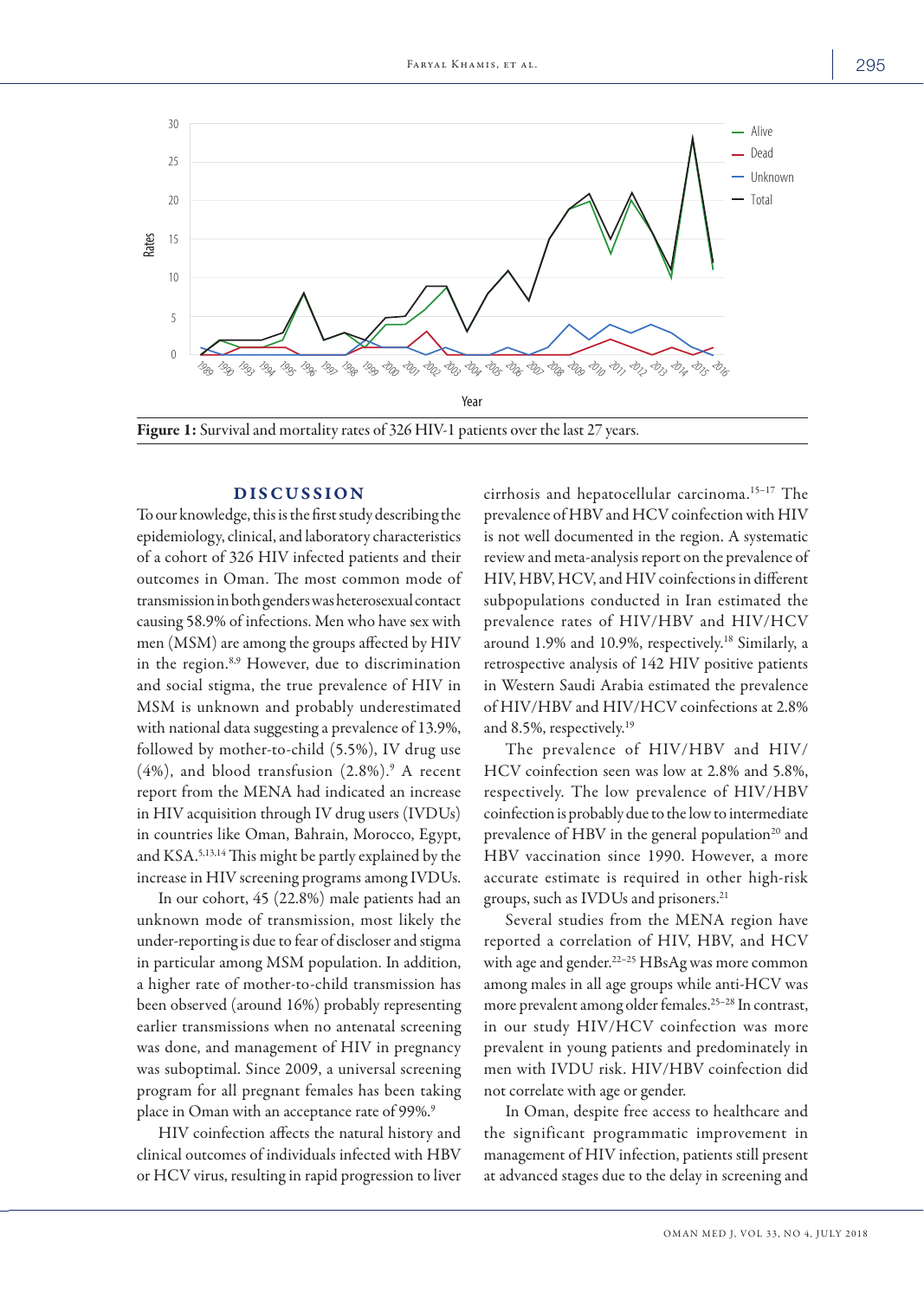

### DISCUSSION

To our knowledge, this is the first study describing the epidemiology, clinical, and laboratory characteristics of a cohort of 326 HIV infected patients and their outcomes in Oman. The most common mode of transmission in both genders was heterosexual contact causing 58.9% of infections. Men who have sex with men (MSM) are among the groups affected by HIV in the region.8,9 However, due to discrimination and social stigma, the true prevalence of HIV in MSM is unknown and probably underestimated with national data suggesting a prevalence of 13.9%, followed by mother-to-child (5.5%), IV drug use  $(4%)$ , and blood transfusion  $(2.8%)$ .<sup>9</sup> A recent report from the MENA had indicated an increase in HIV acquisition through IV drug users (IVDUs) in countries like Oman, Bahrain, Morocco, Egypt, and KSA.5,13,14 This might be partly explained by the increase in HIV screening programs among IVDUs.

In our cohort, 45 (22.8%) male patients had an unknown mode of transmission, most likely the under-reporting is due to fear of discloser and stigma in particular among MSM population. In addition, a higher rate of mother-to-child transmission has been observed (around 16%) probably representing earlier transmissions when no antenatal screening was done, and management of HIV in pregnancy was suboptimal. Since 2009, a universal screening program for all pregnant females has been taking place in Oman with an acceptance rate of 99%.9

HIV coinfection affects the natural history and clinical outcomes of individuals infected with HBV or HCV virus, resulting in rapid progression to liver cirrhosis and hepatocellular carcinoma.<sup>15-17</sup> The prevalence of HBV and HCV coinfection with HIV is not well documented in the region. A systematic review and meta-analysis report on the prevalence of HIV, HBV, HCV, and HIV coinfections in different subpopulations conducted in Iran estimated the prevalence rates of HIV/HBV and HIV/HCV around 1.9% and 10.9%, respectively.<sup>18</sup> Similarly, a retrospective analysis of 142 HIV positive patients in Western Saudi Arabia estimated the prevalence of HIV/HBV and HIV/HCV coinfections at 2.8% and 8.5%, respectively.19

The prevalence of HIV/HBV and HIV/ HCV coinfection seen was low at 2.8% and 5.8%, respectively. The low prevalence of HIV/HBV coinfection is probably due to the low to intermediate prevalence of HBV in the general population<sup>20</sup> and HBV vaccination since 1990. However, a more accurate estimate is required in other high-risk groups, such as IVDUs and prisoners.21

Several studies from the MENA region have reported a correlation of HIV, HBV, and HCV with age and gender.<sup>22-25</sup> HBsAg was more common among males in all age groups while anti-HCV was more prevalent among older females.25–28 In contrast, in our study HIV/HCV coinfection was more prevalent in young patients and predominately in men with IVDU risk. HIV/HBV coinfection did not correlate with age or gender.

In Oman, despite free access to healthcare and the significant programmatic improvement in management of HIV infection, patients still present at advanced stages due to the delay in screening and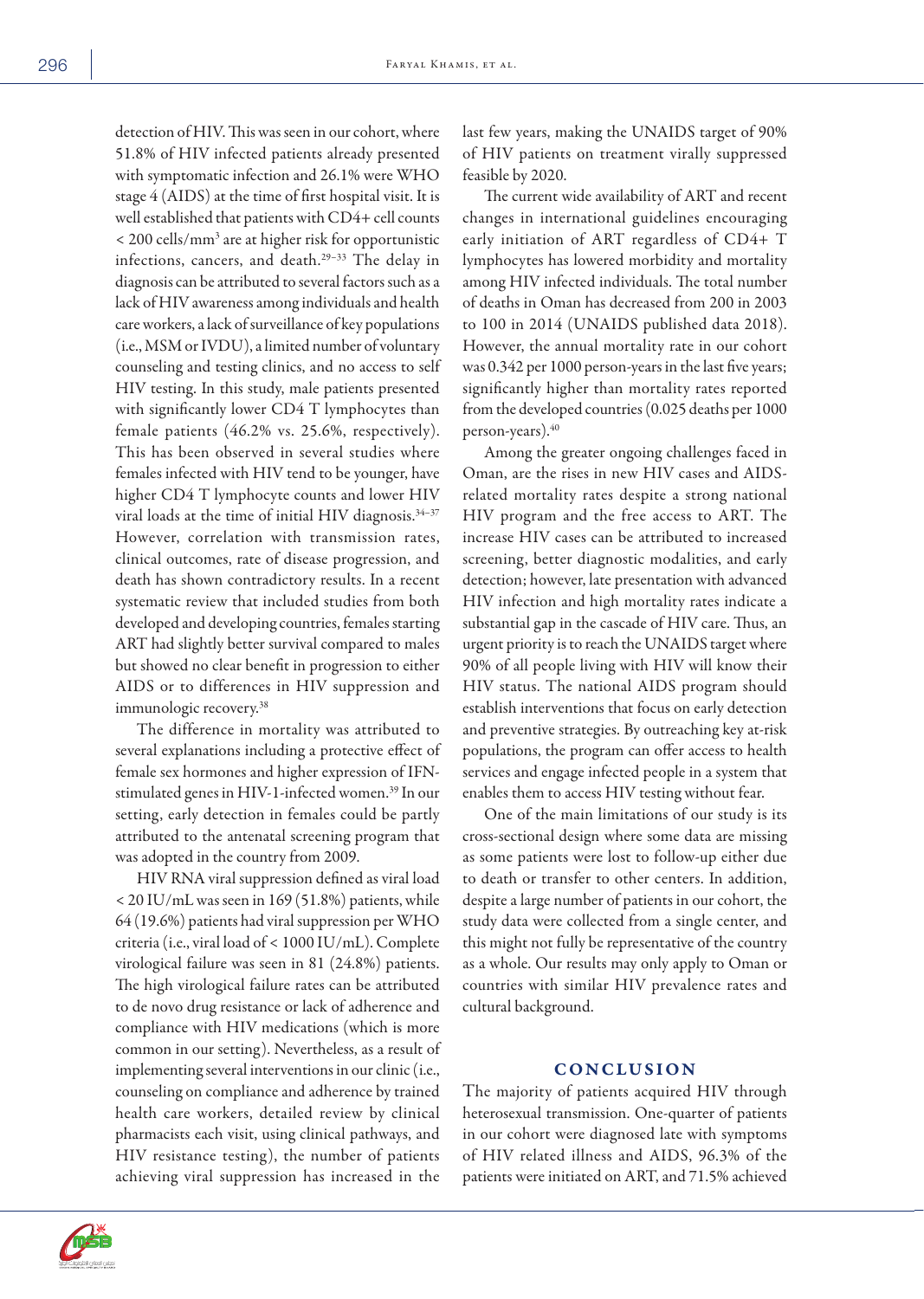detection of HIV. This was seen in our cohort, where 51.8% of HIV infected patients already presented with symptomatic infection and 26.1% were WHO stage 4 (AIDS) at the time of first hospital visit. It is well established that patients with CD4+ cell counts < 200 cells/mm3 are at higher risk for opportunistic infections, cancers, and death.29–33 The delay in diagnosis can be attributed to several factors such as a lack of HIV awareness among individuals and health care workers, a lack of surveillance of key populations (i.e., MSM or IVDU), a limited number of voluntary counseling and testing clinics, and no access to self HIV testing. In this study, male patients presented with significantly lower CD4 T lymphocytes than female patients (46.2% vs. 25.6%, respectively). This has been observed in several studies where females infected with HIV tend to be younger, have higher CD4 T lymphocyte counts and lower HIV viral loads at the time of initial HIV diagnosis.34–37 However, correlation with transmission rates, clinical outcomes, rate of disease progression, and death has shown contradictory results. In a recent systematic review that included studies from both developed and developing countries, females starting ART had slightly better survival compared to males but showed no clear benefit in progression to either AIDS or to differences in HIV suppression and immunologic recovery.38

The difference in mortality was attributed to several explanations including a protective effect of female sex hormones and higher expression of IFNstimulated genes in HIV-1-infected women.<sup>39</sup> In our setting, early detection in females could be partly attributed to the antenatal screening program that was adopted in the country from 2009.

HIV RNA viral suppression defined as viral load < 20 IU/mL was seen in 169 (51.8%) patients, while 64 (19.6%) patients had viral suppression per WHO criteria (i.e., viral load of < 1000 IU/mL). Complete virological failure was seen in 81 (24.8%) patients. The high virological failure rates can be attributed to de novo drug resistance or lack of adherence and compliance with HIV medications (which is more common in our setting). Nevertheless, as a result of implementing several interventions in our clinic (i.e., counseling on compliance and adherence by trained health care workers, detailed review by clinical pharmacists each visit, using clinical pathways, and HIV resistance testing), the number of patients achieving viral suppression has increased in the

last few years, making the UNAIDS target of 90% of HIV patients on treatment virally suppressed feasible by 2020.

The current wide availability of ART and recent changes in international guidelines encouraging early initiation of ART regardless of CD4+ T lymphocytes has lowered morbidity and mortality among HIV infected individuals. The total number of deaths in Oman has decreased from 200 in 2003 to 100 in 2014 (UNAIDS published data 2018). However, the annual mortality rate in our cohort was 0.342 per 1000 person-years in the last five years; significantly higher than mortality rates reported from the developed countries (0.025 deaths per 1000 person-years).<sup>40</sup>

Among the greater ongoing challenges faced in Oman, are the rises in new HIV cases and AIDSrelated mortality rates despite a strong national HIV program and the free access to ART. The increase HIV cases can be attributed to increased screening, better diagnostic modalities, and early detection; however, late presentation with advanced HIV infection and high mortality rates indicate a substantial gap in the cascade of HIV care. Thus, an urgent priority is to reach the UNAIDS target where 90% of all people living with HIV will know their HIV status. The national AIDS program should establish interventions that focus on early detection and preventive strategies. By outreaching key at-risk populations, the program can offer access to health services and engage infected people in a system that enables them to access HIV testing without fear.

One of the main limitations of our study is its cross-sectional design where some data are missing as some patients were lost to follow-up either due to death or transfer to other centers. In addition, despite a large number of patients in our cohort, the study data were collected from a single center, and this might not fully be representative of the country as a whole. Our results may only apply to Oman or countries with similar HIV prevalence rates and cultural background.

# **CONCLUSION**

The majority of patients acquired HIV through heterosexual transmission. One-quarter of patients in our cohort were diagnosed late with symptoms of HIV related illness and AIDS, 96.3% of the patients were initiated on ART, and 71.5% achieved

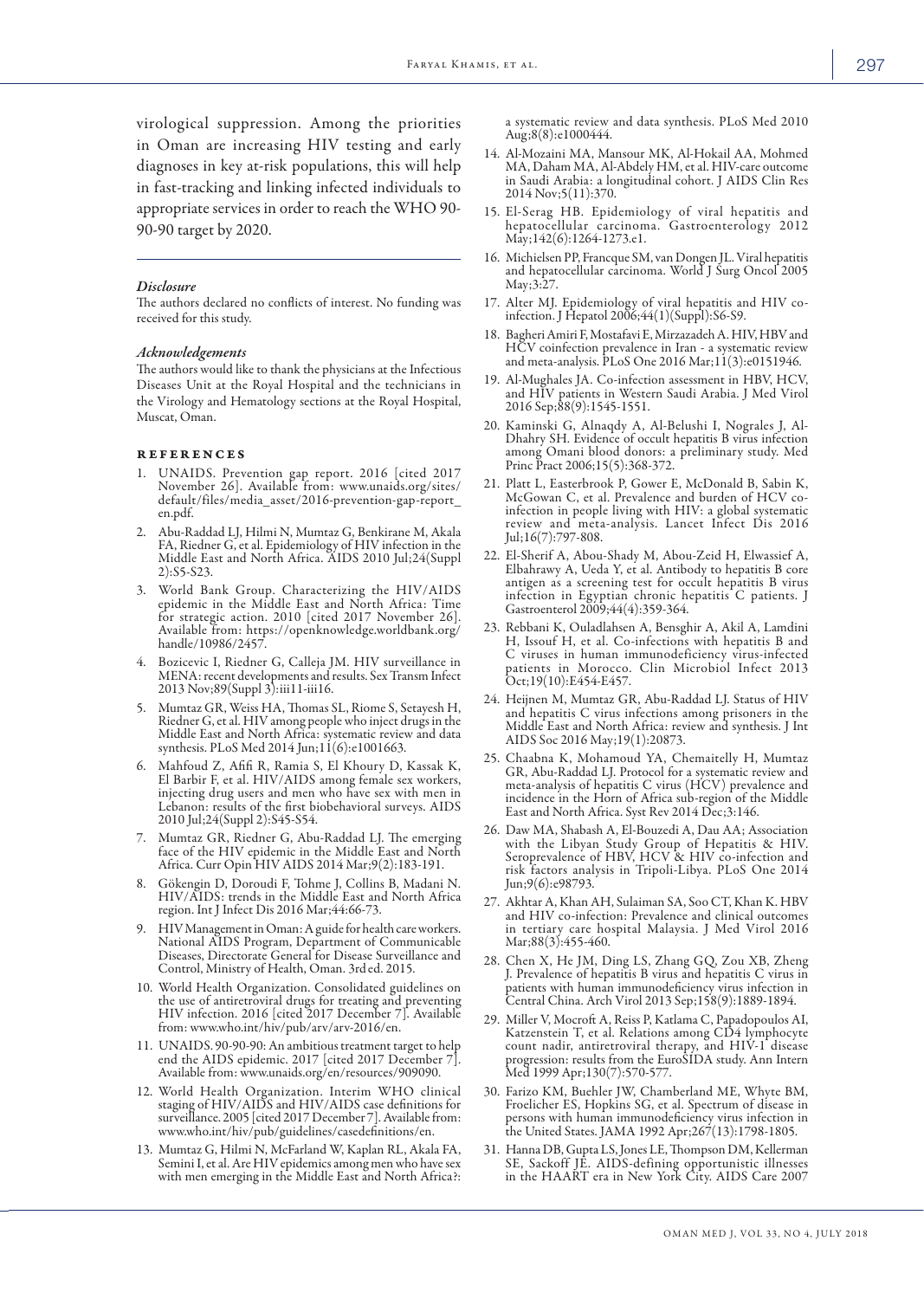virological suppression. Among the priorities in Oman are increasing HIV testing and early diagnoses in key at-risk populations, this will help in fast-tracking and linking infected individuals to appropriate services in order to reach the WHO 90- 90-90 target by 2020.

#### *Disclosure*

The authors declared no conflicts of interest. No funding was received for this study.

#### *Acknowledgements*

The authors would like to thank the physicians at the Infectious Diseases Unit at the Royal Hospital and the technicians in the Virology and Hematology sections at the Royal Hospital, Muscat, Oman.

#### references

- 1. UNAIDS. Prevention gap report. 2016 [cited 2017 November 26]. Available from: www.unaids.org/sites/ default/files/media\_asset/2016-prevention-gap-report\_ en.pdf.
- 2. Abu-Raddad LJ, Hilmi N, Mumtaz G, Benkirane M, Akala FA, Riedner G, et al. Epidemiology of HIV infection in the Middle East and North Africa. AIDS 2010 Jul;24(Suppl 2):S5-S23.
- 3. World Bank Group. Characterizing the HIV/AIDS epidemic in the Middle East and North Africa: Time for strategic action. 2010 [cited 2017 November 26]. Available from: https://openknowledge.worldbank.org/ handle/10986/2457.
- 4. Bozicevic I, Riedner G, Calleja JM. HIV surveillance in MENA: recent developments and results. Sex Transm Infect 2013 Nov;89(Suppl 3):iii11-iii16.
- 5. Mumtaz GR, Weiss HA, Thomas SL, Riome S, Setayesh H, Riedner G, et al. HIV among people who inject drugs in the Middle East and North Africa: systematic review and data synthesis. PLoS Med 2014 Jun;11(6):e1001663.
- 6. Mahfoud Z, Afifi R, Ramia S, El Khoury D, Kassak K, El Barbir F, et al. HIV/AIDS among female sex workers, injecting drug users and men who have sex with men in Lebanon: results of the first biobehavioral surveys. AIDS 2010 Jul;24(Suppl 2):S45-S54.
- 7. Mumtaz GR, Riedner G, Abu-Raddad LJ. The emerging face of the HIV epidemic in the Middle East and North Africa. Curr Opin HIV AIDS 2014 Mar;9(2):183-191.
- 8. Gökengin D, Doroudi F, Tohme J, Collins B, Madani N. HIV/AIDS: trends in the Middle East and North Africa region. Int J Infect Dis 2016 Mar;44:66-73.
- 9. HIV Management in Oman: A guide for health care workers. National AIDS Program, Department of Communicable Diseases, Directorate General for Disease Surveillance and Control, Ministry of Health, Oman. 3rded. 2015.
- 10. World Health Organization. Consolidated guidelines on the use of antiretroviral drugs for treating and preventing HIV infection. 2016 [cited 2017 December 7]. Available from: www.who.int/hiv/pub/arv/arv-2016/en.
- 11. UNAIDS. 90-90-90: An ambitious treatment target to help end the AIDS epidemic. 2017 [cited 2017 December 7]. Available from: www.unaids.org/en/resources/909090.
- 12. World Health Organization. Interim WHO clinical staging of HIV/AIDS and HIV/AIDS case definitions for surveillance. 2005 [cited 2017 December 7]. Available from: www.who.int/hiv/pub/guidelines/casedefinitions/en.
- 13. Mumtaz G, Hilmi N, McFarland W, Kaplan RL, Akala FA, Semini I, et al. Are HIV epidemics among men who have sex with men emerging in the Middle East and North Africa?:

a systematic review and data synthesis. PLoS Med 2010 Aug;8(8):e1000444.

- 14. Al-Mozaini MA, Mansour MK, Al-Hokail AA, Mohmed MA, Daham MA, Al-Abdely HM, et al. HIV-care outcome in Saudi Arabia: a longitudinal cohort. J AIDS Clin Res 2014 Nov;5(11):370.
- 15. El-Serag HB. Epidemiology of viral hepatitis and hepatocellular carcinoma. Gastroenterology 2012 May;142(6):1264-1273.e1.
- 16. Michielsen PP, Francque SM, van Dongen JL. Viral hepatitis and hepatocellular carcinoma. World J Surg Oncol 2005 May;3:27.
- 17. Alter MJ. Epidemiology of viral hepatitis and HIV coinfection. J Hepatol 2006;44(1)(Suppl):S6-S9.
- 18. Bagheri Amiri F, Mostafavi E, Mirzazadeh A. HIV, HBV and HCV coinfection prevalence in Iran - a systematic review and meta-analysis. PLoS One 2016 Mar;11(3):e0151946.
- 19. Al-Mughales JA. Co-infection assessment in HBV, HCV, and HIV patients in Western Saudi Arabia. J Med Virol 2016 Sep;88(9):1545-1551.
- 20. Kaminski G, Alnaqdy A, Al-Belushi I, Nograles J, Al-Dhahry SH. Evidence of occult hepatitis B virus infection among Omani blood donors: a preliminary study. Med Princ Pract 2006;15(5):368-372.
- 21. Platt L, Easterbrook P, Gower E, McDonald B, Sabin K, McGowan C, et al. Prevalence and burden of HCV coinfection in people living with HIV: a global systematic review and meta-analysis. Lancet Infect Dis 2016 Jul;16(7):797-808.
- 22. El-Sherif A, Abou-Shady M, Abou-Zeid H, Elwassief A, antigen as a screening test for occult hepatitis B virus infection in Egyptian chronic hepatitis C patients. J Gastroenterol 2009;44(4):359-364.
- 23. Rebbani K, Ouladlahsen A, Bensghir A, Akil A, Lamdini H, Issouf H, et al. Co-infections with hepatitis B and C viruses in human immunodeficiency virus-infected patients in Morocco. Clin Microbiol Infect 2013 Oct;19(10):E454-E457.
- 24. Heijnen M, Mumtaz GR, Abu-Raddad LJ. Status of HIV and hepatitis C virus infections among prisoners in the Middle East and North Africa: review and synthesis. J Int AIDS Soc 2016 May;19(1):20873.
- 25. Chaabna K, Mohamoud YA, Chemaitelly H, Mumtaz GR, Abu-Raddad LJ. Protocol for a systematic review and meta-analysis of hepatitis C virus (HCV) prevalence and incidence in the Horn of Africa sub-region of the Middle East and North Africa. Syst Rev 2014 Dec;3:146.
- 26. Daw MA, Shabash A, El-Bouzedi A, Dau AA; Association with the Libyan Study Group of Hepatitis & HIV. Seroprevalence of HBV, HCV & HIV co-infection and risk factors analysis in Tripoli-Libya. PLoS One 2014 Jun;9(6):e98793.
- 27. Akhtar A, Khan AH, Sulaiman SA, Soo CT, Khan K. HBV and HIV co-infection: Prevalence and clinical outcomes in tertiary care hospital Malaysia. J Med Virol 2016 Mar;88(3):455-460.
- 28. Chen X, He JM, Ding LS, Zhang GQ, Zou XB, Zheng J. Prevalence of hepatitis B virus and hepatitis C virus in patients with human immunodeficiency virus infection in Central China. Arch Virol 2013 Sep;158(9):1889-1894.
- 29. Miller V, Mocroft A, Reiss P, Katlama C, Papadopoulos AI, Katzenstein T, et al. Relations among CD4 lymphocyte count nadir, antiretroviral therapy, and HIV-1 disease progression: results from the EuroSIDA study. Ann Intern Med 1999 Apr;130(7):570-577.
- 30. Farizo KM, Buehler JW, Chamberland ME, Whyte BM, Froelicher ES, Hopkins SG, et al. Spectrum of disease in persons with human immunodeficiency virus infection in the United States. JAMA 1992 Apr;267(13):1798-1805.
- 31. Hanna DB, Gupta LS, Jones LE, Thompson DM, Kellerman SE, Sackoff JE. AIDS-defining opportunistic illnesses in the HAART era in New York City. AIDS Care 2007